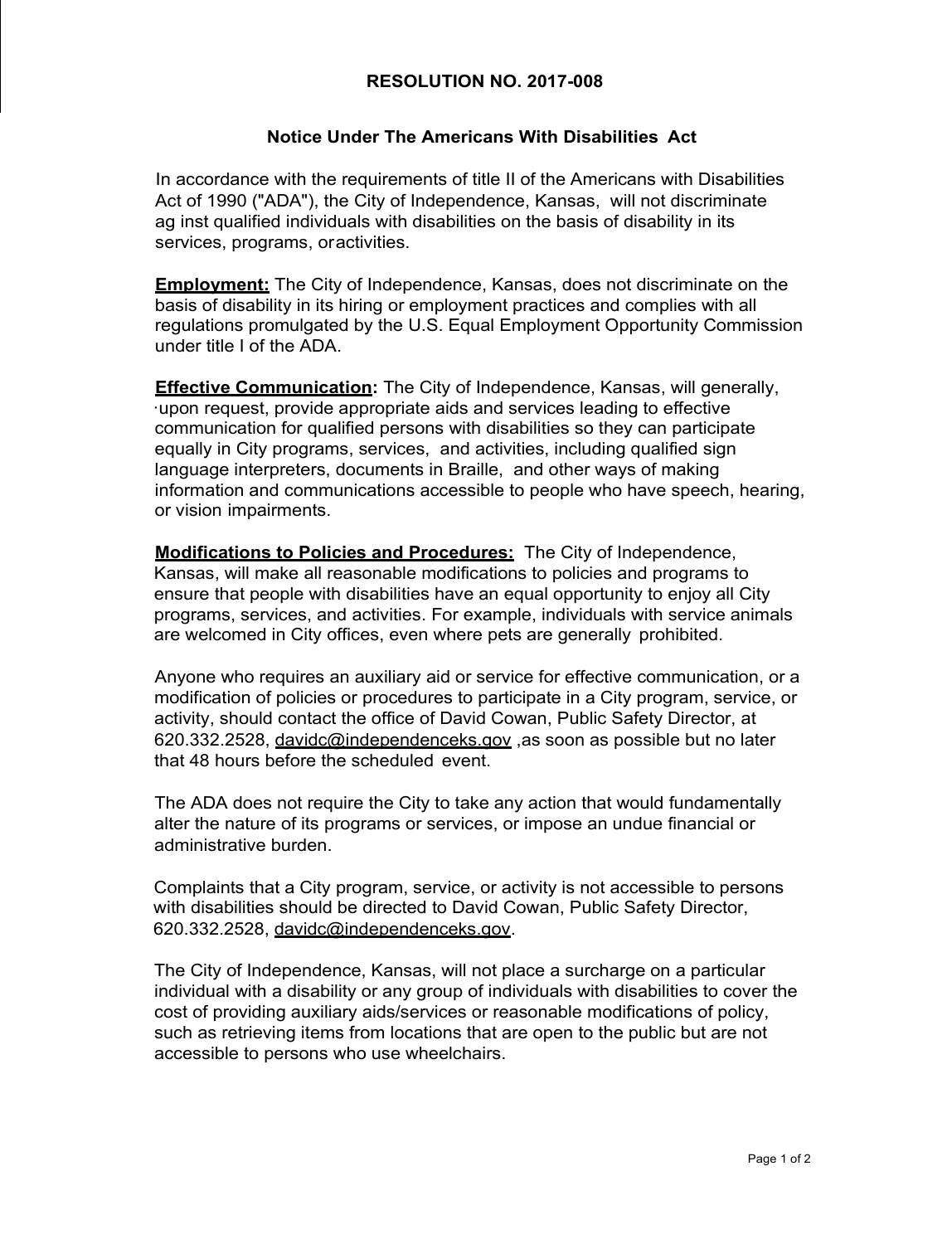## **RESOLUTION NO. 2017-008**

## **Notice Under The Americans With Disabilities Act**

In accordance with the requirements of title II of the Americans with Disabilities Act of 1990 ("ADA"), the City of Independence, Kansas, will not discriminate ag inst qualified individuals with disabilities on the basis of disability in its services, programs, oractivities.

**Employment:** The City of Independence, Kansas, does not discriminate on the basis of disability in its hiring or employment practices and complies with all regulations promulgated by the U.S. Equal Employment Opportunity Commission under title I of the ADA.

**Effective Communication:** The City of Independence, Kansas, will generally, ·upon request, provide appropriate aids and services leading to effective communication for qualified persons with disabilities so they can participate equally in City programs, services, and activities, including qualified sign language interpreters, documents in Braille, and other ways of making information and communications accessible to people who have speech, hearing, or vision impairments.

**Modifications to Policies and Procedures:** The City of Independence, Kansas, will make all reasonable modifications to policies and programs to ensure that people with disabilities have an equal opportunity to enjoy all City programs, services, and activities. For example, individuals with service animals are welcomed in City offices, even where pets are generally prohibited.

Anyone who requires an auxiliary aid or service for effective communication, or a modification of policies or procedures to participate in a City program, service, or activity, should contact the office of David Cowan, Public Safety Director, at 620.332.2528, [davidc@independenceks.gov](mailto:davidc@independenceks.gov) ,as soon as possible but no later that 48 hours before the scheduled event.

The ADA does not require the City to take any action that would fundamentally alter the nature of its programs or services, or impose an undue financial or administrative burden.

Complaints that a City program, service, or activity is not accessible to persons with disabilities should be directed to David Cowan, Public Safety Director, 620.332.2528, [davidc@independenceks.gov.](mailto:davidc@independenceks.gov)

The City of Independence, Kansas, will not place a surcharge on a particular individual with a disability or any group of individuals with disabilities to cover the cost of providing auxiliary aids/services or reasonable modifications of policy, such as retrieving items from locations that are open to the public but are not accessible to persons who use wheelchairs.